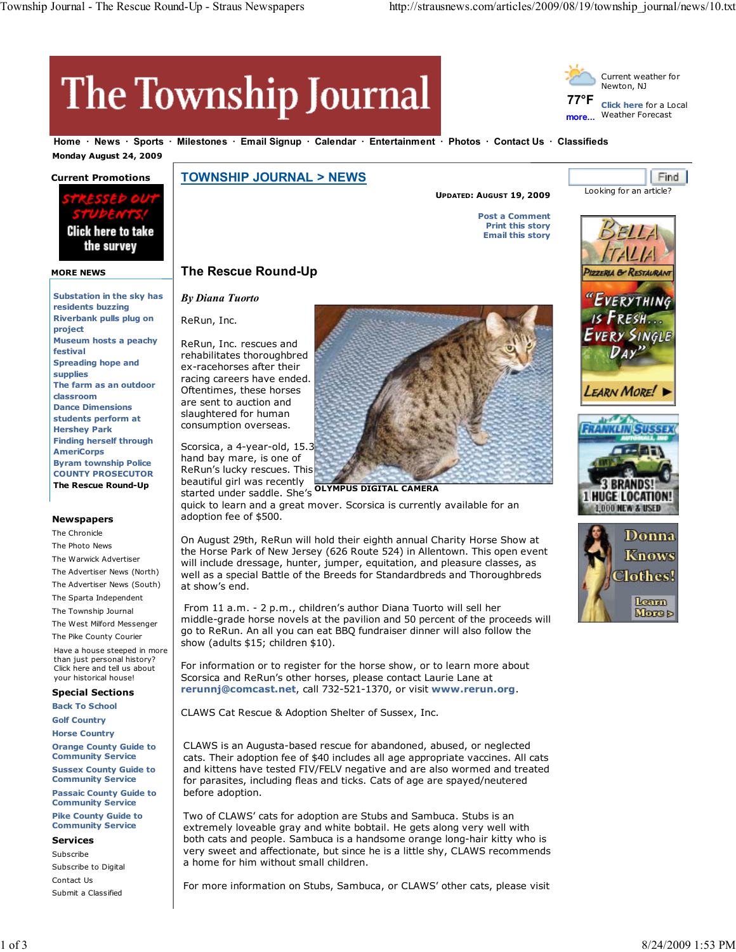# The Township Journal



Looking for an article?

Find,

**Home News Sports Milestones Email Signup Calendar Entertainment Photos Contact Us Classifieds Monday August 24, 2009**

## **Current Promotions**

Click here to take the survey

#### **MORE NEWS**

**Substation in the sky has residents buzzing Riverbank pulls plug on project Museum hosts a peachy festival Spreading hope and supplies The farm as an outdoor classroom Dance Dimensions students perform at Hershey Park Finding herself through AmeriCorps Byram township Police COUNTY PROSECUTOR The Rescue Round-Up**

#### **Newspapers**

The Chronicle

The Photo News

The Warwick Advertiser The Advertiser News (North)

The Advertiser News (South)

The Sparta Independent

The Township Journal

The West Milford Messenger The Pike County Courier

Have a house steeped in more than just personal history? Click here and tell us about

your historical house! **Special Sections**

**Back To School**

**Golf Country**

**Horse Country**

**Orange County Guide to Community Service**

**Sussex County Guide to Community Service**

**Passaic County Guide to Community Service**

**Pike County Guide to Community Service**

### **Services**

Subscribe Subscribe to Digital Contact Us Submit a Classified

**TOWNSHIP JOURNAL > NEWS**

## **The Rescue Round-Up**

*By Diana Tuorto*

ReRun, Inc.

ReRun, Inc. rescues and rehabilitates thoroughbred ex-racehorses after their racing careers have ended. Oftentimes, these horses are sent to auction and slaughtered for human consumption overseas.

beautiful girl was recently<br>started under saddle, She's **OLYMPUS DIGITAL CAMERA** Scorsica, a 4-year-old, 15.3 hand bay mare, is one of ReRun's lucky rescues. This started under saddle. She's



**UPDATED: AUGUST 19, 2009**

**Post a Comment Print this story Email this story**

quick to learn and a great mover. Scorsica is currently available for an adoption fee of \$500.

On August 29th, ReRun will hold their eighth annual Charity Horse Show at the Horse Park of New Jersey (626 Route 524) in Allentown. This open event will include dressage, hunter, jumper, equitation, and pleasure classes, as well as a special Battle of the Breeds for Standardbreds and Thoroughbreds at show's end.

From 11 a.m. - 2 p.m., children's author Diana Tuorto will sell her middle-grade horse novels at the pavilion and 50 percent of the proceeds will go to ReRun. An all you can eat BBQ fundraiser dinner will also follow the show (adults \$15; children \$10).

For information or to register for the horse show, or to learn more about Scorsica and ReRun's other horses, please contact Laurie Lane at **rerunnj@comcast.net**, call 732-521-1370, or visit **www.rerun.org**.

CLAWS Cat Rescue & Adoption Shelter of Sussex, Inc.

CLAWS is an Augusta-based rescue for abandoned, abused, or neglected cats. Their adoption fee of \$40 includes all age appropriate vaccines. All cats and kittens have tested FIV/FELV negative and are also wormed and treated for parasites, including fleas and ticks. Cats of age are spayed/neutered before adoption.

Two of CLAWS' cats for adoption are Stubs and Sambuca. Stubs is an extremely loveable gray and white bobtail. He gets along very well with both cats and people. Sambuca is a handsome orange long-hair kitty who is very sweet and affectionate, but since he is a little shy, CLAWS recommends a home for him without small children.

For more information on Stubs, Sambuca, or CLAWS' other cats, please visit





EARN MORE!

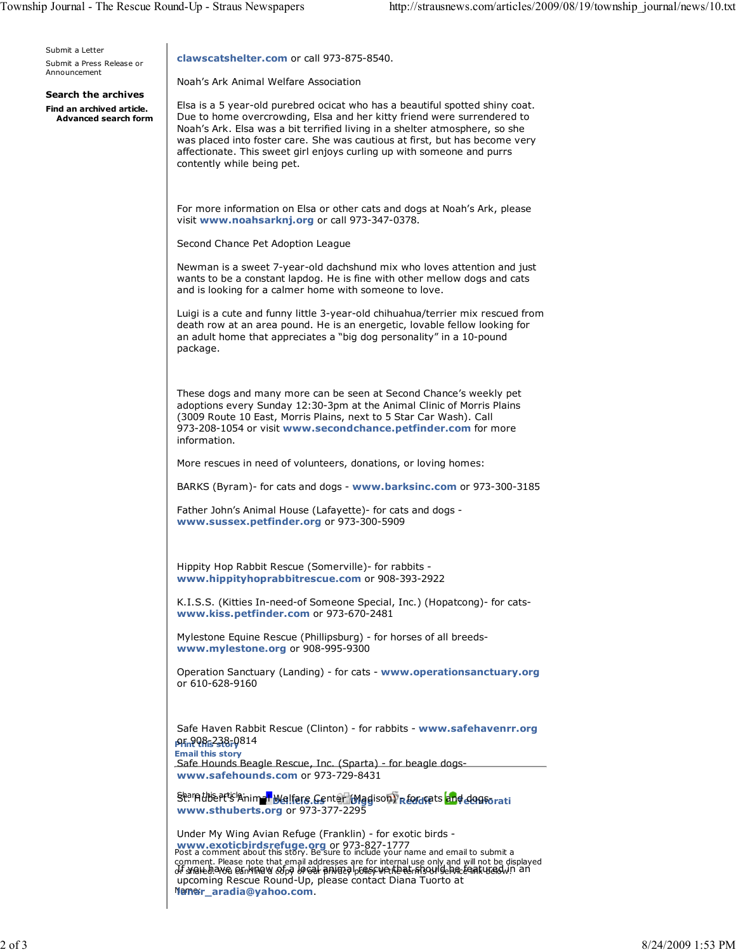Submit a Letter Submit a Press Release or Announcement

**clawscatshelter.com** or call 973-875-8540.

Noah's Ark Animal Welfare Association

**Search the archives Find an archived article. Advanced search form**

Elsa is a 5 year-old purebred ocicat who has a beautiful spotted shiny coat. Due to home overcrowding, Elsa and her kitty friend were surrendered to Noah's Ark. Elsa was a bit terrified living in a shelter atmosphere, so she was placed into foster care. She was cautious at first, but has become very affectionate. This sweet girl enjoys curling up with someone and purrs contently while being pet.

For more information on Elsa or other cats and dogs at Noah's Ark, please visit **www.noahsarknj.org** or call 973-347-0378.

Second Chance Pet Adoption League

Newman is a sweet 7-year-old dachshund mix who loves attention and just wants to be a constant lapdog. He is fine with other mellow dogs and cats and is looking for a calmer home with someone to love.

Luigi is a cute and funny little 3-year-old chihuahua/terrier mix rescued from death row at an area pound. He is an energetic, lovable fellow looking for an adult home that appreciates a "big dog personality" in a 10-pound package.

These dogs and many more can be seen at Second Chance's weekly pet adoptions every Sunday 12:30-3pm at the Animal Clinic of Morris Plains (3009 Route 10 East, Morris Plains, next to 5 Star Car Wash). Call 973-208-1054 or visit **www.secondchance.petfinder.com** for more information.

More rescues in need of volunteers, donations, or loving homes:

BARKS (Byram)- for cats and dogs - **www.barksinc.com** or 973-300-3185

Father John's Animal House (Lafayette)- for cats and dogs **www.sussex.petfinder.org** or 973-300-5909

Hippity Hop Rabbit Rescue (Somerville)- for rabbits **www.hippityhoprabbitrescue.com** or 908-393-2922

K.I.S.S. (Kitties In-need-of Someone Special, Inc.) (Hopatcong)- for cats**www.kiss.petfinder.com** or 973-670-2481

Mylestone Equine Rescue (Phillipsburg) - for horses of all breeds**www.mylestone.org** or 908-995-9300

Operation Sanctuary (Landing) - for cats - **www.operationsanctuary.org** or 610-628-9160

**Print this story** or 908-238-0814 **Email this story** Safe Haven Rabbit Rescue (Clinton) - for rabbits - **www.safehavenrr.org** Safe Hounds Beagle Rescue, Inc. (Sparta) - for beagle dogs**www.safehounds.com** or 973-729-8431

SharA*th*is At<sup>ticle</sup>: Animal Welfare Genter (Madison) - for cats and dogs-rati **www.sthuberts.org** or 973-377-2295

**www.exoticbirdsrefuge.org** or 973-827-1777<br>Post a comment about this story. Be sure to include your name and email to submit a comment. Please note that email addresses are for internal use only and will not be displayed<br>df अक्षिर MR @ankinaw &fp? & @ankina? | box & hat be an always and will not be displayed<br>df अक्षिर MR & MT and will always and Name: **lunar\_aradia@yahoo.com**. Under My Wing Avian Refuge (Franklin) - for exotic birds upcoming Rescue Round-Up, please contact Diana Tuorto at